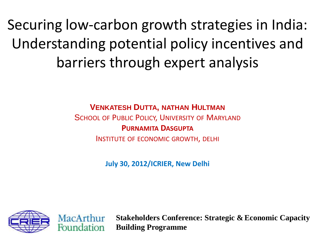Securing low-carbon growth strategies in India: Understanding potential policy incentives and barriers through expert analysis

**VENKATESH DUTTA, NATHAN HULTMAN**

SCHOOL OF PUBLIC POLICY, UNIVERSITY OF MARYLAND **PURNAMITA DASGUPTA** INSTITUTE OF ECONOMIC GROWTH, DELHI

**July 30, 2012/ICRIER, New Delhi**





**Stakeholders Conference: Strategic & Economic Capacity Building Programme**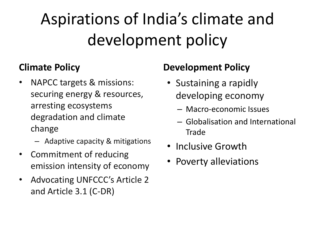## Aspirations of India's climate and development policy

#### **Climate Policy**

- NAPCC targets & missions: securing energy & resources, arresting ecosystems degradation and climate change
	- Adaptive capacity & mitigations
- Commitment of reducing emission intensity of economy
- Advocating UNFCCC's Article 2 and Article 3.1 (C-DR)

#### **Development Policy**

- Sustaining a rapidly developing economy
	- Macro-economic Issues
	- Globalisation and International Trade
- Inclusive Growth
- Poverty alleviations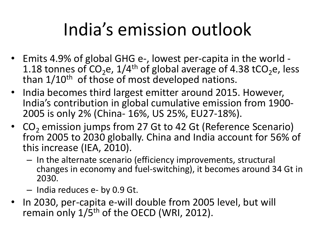# India's emission outlook

- Emits 4.9% of global GHG e-, lowest per-capita in the world 1.18 tonnes of  $CO<sub>2</sub>e$ , 1/4<sup>th</sup> of global average of 4.38 tCO<sub>2</sub>e, less than 1/10<sup>th</sup> of those of most developed nations.
- India becomes third largest emitter around 2015. However, India's contribution in global cumulative emission from 1900- 2005 is only 2% (China- 16%, US 25%, EU27-18%).
- CO<sub>2</sub> emission jumps from 27 Gt to 42 Gt (Reference Scenario) from 2005 to 2030 globally. China and India account for 56% of this increase (IEA, 2010).
	- In the alternate scenario (efficiency improvements, structural changes in economy and fuel-switching), it becomes around 34 Gt in 2030.
	- India reduces e- by 0.9 Gt.
- In 2030, per-capita e-will double from 2005 level, but will remain only  $1/5$ <sup>th</sup> of the OECD (WRI, 2012).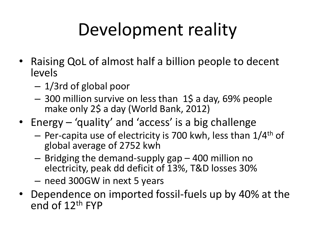# Development reality

- Raising QoL of almost half a billion people to decent levels
	- 1/3rd of global poor
	- 300 million survive on less than 1\$ a day, 69% people make only 2\$ a day (World Bank, 2012)
- Energy 'quality' and 'access' is a big challenge
	- Per-capita use of electricity is 700 kwh, less than 1/4th of global average of 2752 kwh
	- Bridging the demand-supply gap 400 million no electricity, peak dd deficit of 13%, T&D losses 30%
	- need 300GW in next 5 years
- Dependence on imported fossil-fuels up by 40% at the end of 12th FYP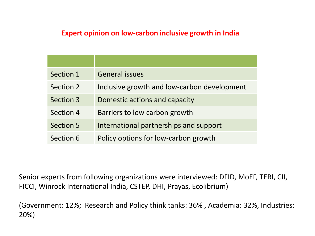#### **Expert opinion on low-carbon inclusive growth in India**

| Section 1        | <b>General issues</b>                       |
|------------------|---------------------------------------------|
| Section 2        | Inclusive growth and low-carbon development |
| Section 3        | Domestic actions and capacity               |
| Section 4        | Barriers to low carbon growth               |
| <b>Section 5</b> | International partnerships and support      |
| Section 6        | Policy options for low-carbon growth        |

Senior experts from following organizations were interviewed: DFID, MoEF, TERI, CII, FICCI, Winrock International India, CSTEP, DHI, Prayas, Ecolibrium)

(Government: 12%; Research and Policy think tanks: 36% , Academia: 32%, Industries: 20%)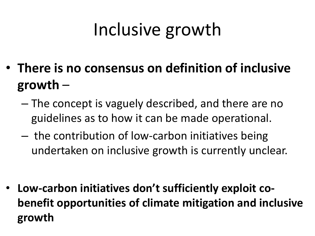# Inclusive growth

- **There is no consensus on definition of inclusive growth** –
	- The concept is vaguely described, and there are no guidelines as to how it can be made operational.
	- the contribution of low-carbon initiatives being undertaken on inclusive growth is currently unclear.

• **Low-carbon initiatives don't sufficiently exploit cobenefit opportunities of climate mitigation and inclusive growth**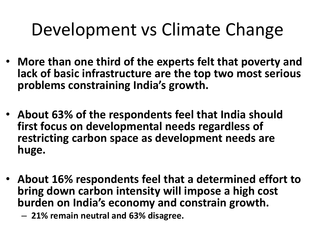#### Development vs Climate Change

- **More than one third of the experts felt that poverty and lack of basic infrastructure are the top two most serious problems constraining India's growth.**
- **About 63% of the respondents feel that India should first focus on developmental needs regardless of restricting carbon space as development needs are huge.**
- **About 16% respondents feel that a determined effort to bring down carbon intensity will impose a high cost burden on India's economy and constrain growth.** 
	- **21% remain neutral and 63% disagree.**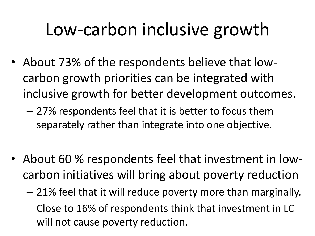## Low-carbon inclusive growth

- About 73% of the respondents believe that lowcarbon growth priorities can be integrated with inclusive growth for better development outcomes.
	- 27% respondents feel that it is better to focus them separately rather than integrate into one objective.
- About 60 % respondents feel that investment in lowcarbon initiatives will bring about poverty reduction
	- 21% feel that it will reduce poverty more than marginally.
	- Close to 16% of respondents think that investment in LC will not cause poverty reduction.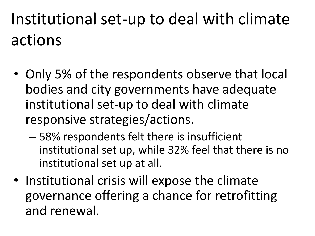## Institutional set-up to deal with climate actions

- Only 5% of the respondents observe that local bodies and city governments have adequate institutional set-up to deal with climate responsive strategies/actions.
	- 58% respondents felt there is insufficient institutional set up, while 32% feel that there is no institutional set up at all.
- Institutional crisis will expose the climate governance offering a chance for retrofitting and renewal.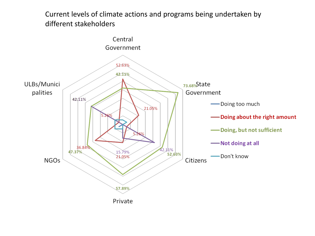#### Current levels of climate actions and programs being undertaken by different stakeholders

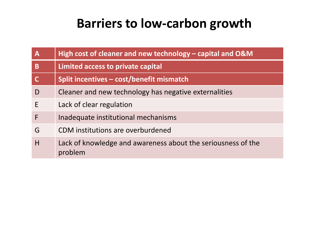#### **Barriers to low-carbon growth**

| $\mathbf{A}$ | High cost of cleaner and new technology – capital and O&M               |
|--------------|-------------------------------------------------------------------------|
| B            | Limited access to private capital                                       |
|              | Split incentives – cost/benefit mismatch                                |
| D            | Cleaner and new technology has negative externalities                   |
| E            | Lack of clear regulation                                                |
| F            | Inadequate institutional mechanisms                                     |
| G            | CDM institutions are overburdened                                       |
| H            | Lack of knowledge and awareness about the seriousness of the<br>problem |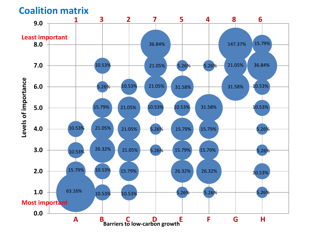**Coalition matrix**

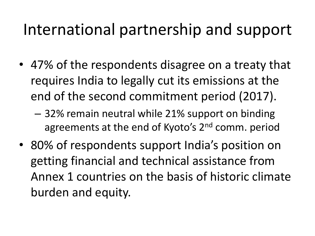#### International partnership and support

- 47% of the respondents disagree on a treaty that requires India to legally cut its emissions at the end of the second commitment period (2017).
	- 32% remain neutral while 21% support on binding agreements at the end of Kyoto's 2<sup>nd</sup> comm. period
- 80% of respondents support India's position on getting financial and technical assistance from Annex 1 countries on the basis of historic climate burden and equity.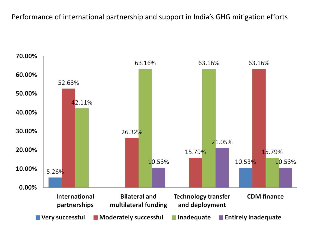Performance of international partnership and support in India's GHG mitigation efforts

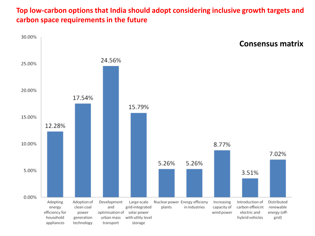#### **Top low-carbon options that India should adopt considering inclusive growth targets and carbon space requirements in the future**

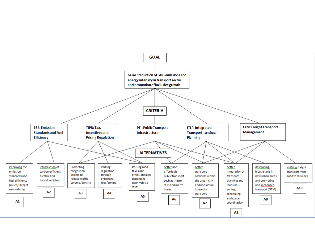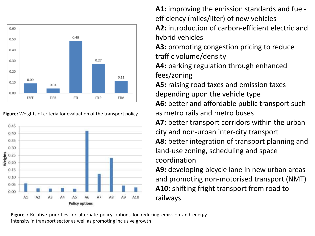

**Figure:** Weights of criteria for evaluation of the transport policy



**A1:** improving the emission standards and fuelefficiency (miles/liter) of new vehicles **A2:** introduction of carbon-efficient electric and

hybrid vehicles

**A3:** promoting congestion pricing to reduce traffic volume/density

**A4:** parking regulation through enhanced fees/zoning

**A5:** raising road taxes and emission taxes depending upon the vehicle type A6: better and affordable public transport such as metro rails and metro buses

**A7:** better transport corridors within the urban city and non-urban inter-city transport **A8:** better integration of transport planning and land-use zoning, scheduling and space coordination

**A9:** developing bicycle lane in new urban areas and promoting non-motorised transport (NMT) **A10:** shifting fright transport from road to railways

**Figure :** Relative priorities for alternate policy options for reducing emission and energy intensity in transport sector as well as promoting inclusive growth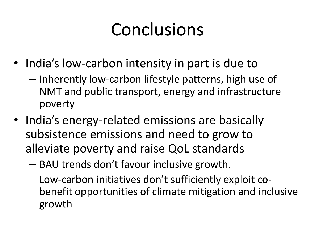## Conclusions

- India's low-carbon intensity in part is due to
	- Inherently low-carbon lifestyle patterns, high use of NMT and public transport, energy and infrastructure poverty
- India's energy-related emissions are basically subsistence emissions and need to grow to alleviate poverty and raise QoL standards
	- BAU trends don't favour inclusive growth.
	- Low-carbon initiatives don't sufficiently exploit cobenefit opportunities of climate mitigation and inclusive growth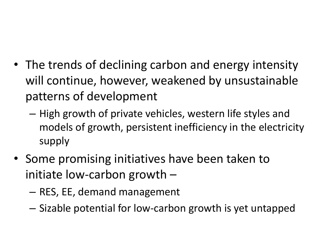- The trends of declining carbon and energy intensity will continue, however, weakened by unsustainable patterns of development
	- High growth of private vehicles, western life styles and models of growth, persistent inefficiency in the electricity supply
- Some promising initiatives have been taken to initiate low-carbon growth –
	- RES, EE, demand management
	- Sizable potential for low-carbon growth is yet untapped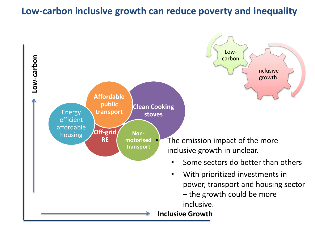#### **Low-carbon inclusive growth can reduce poverty and inequality**